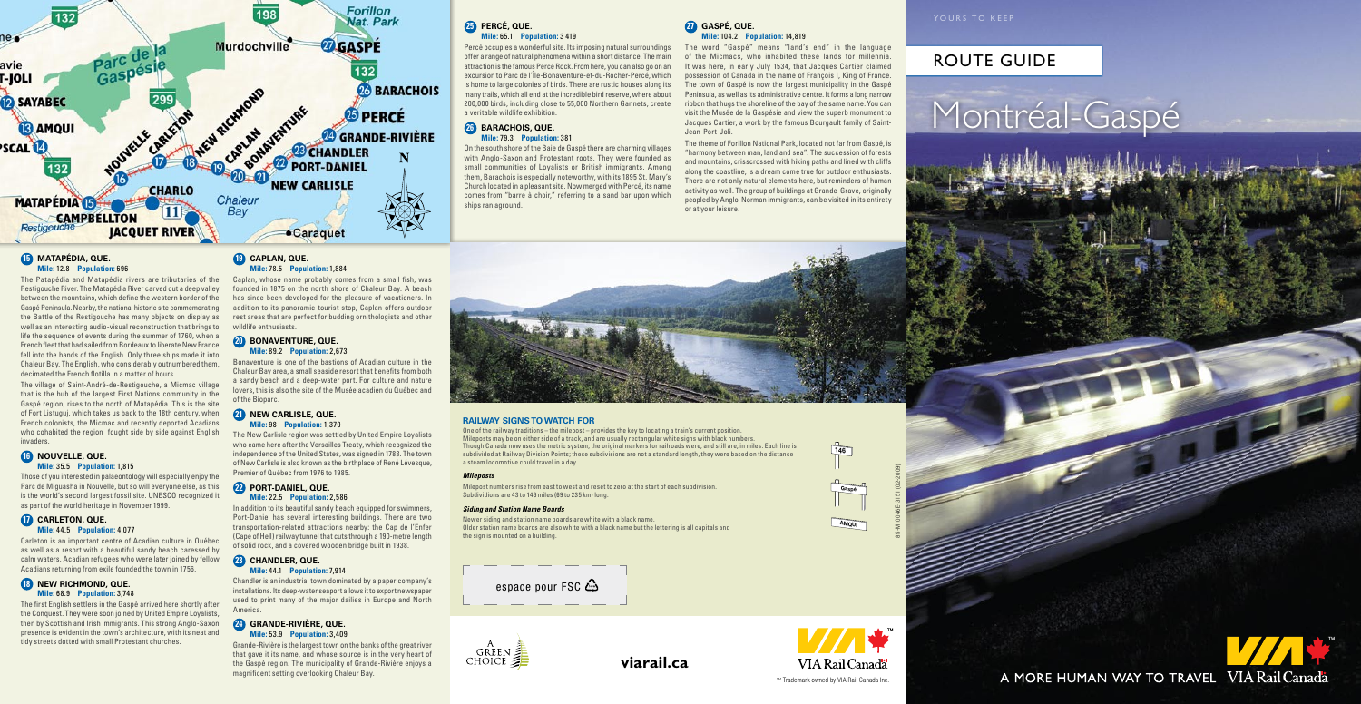## Route Guide





### **15 Matapédia, QuE. Mile:** 12.8 **Population:** 696

The Patapédia and Matapédia rivers are tributaries of the Restigouche River. The Matapédia River carved out a deep valley between the mountains, which define the western border of the Gaspé Peninsula. Nearby, the national historic site commemorating the Battle of the Restigouche has many objects on display as well as an interesting audio-visual reconstruction that brings to life the sequence of events during the summer of 1760, when a French fleet that had sailed from Bordeaux to liberate New France fell into the hands of the English. Only three ships made it into Chaleur Bay. The English, who considerably outnumbered them, decimated the French flotilla in a matter of hours.

The village of Saint-André-de-Restigouche, a Micmac village that is the hub of the largest First Nations community in the Gaspé region, rises to the north of Matapédia. This is the site of Fort Listuguj, which takes us back to the 18th century, when French colonists, the Micmac and recently deported Acadians who cohabited the region fought side by side against English invaders.

### **16 Nouvelle, QuE. Mile:** 35.5 **Population:** 1,815

Those of you interested in palaeontology will especially enjoy the Parc de Miguasha in Nouvelle, but so will everyone else, as this is the world's second largest fossil site. UNESCO recognized it as part of the world heritage in November 1999.

## **17 Carleton, QuE. Mile:** 44.5 **Population:** 4,077

Carleton is an important centre of Acadian culture in Québec as well as a resort with a beautiful sandy beach caressed by calm waters. Acadian refugees who were later joined by fellow Acadians returning from exile founded the town in 1756.

## **18 New Richmond, QuE. Mile:** 68.9 **Population:** 3,748

The first English settlers in the Gaspé arrived here shortly after the Conquest. They were soon joined by United Empire Loyalists, then by Scottish and Irish immigrants. This strong Anglo-Saxon presence is evident in the town's architecture, with its neat and tidy streets dotted with small Protestant churches.

## **19 Caplan, QuE. Mile:** 78.5 **Population:** 1,884

Caplan, whose name probably comes from a small fish, was founded in 1875 on the north shore of Chaleur Bay. A beach has since been developed for the pleasure of vacationers. In addition to its panoramic tourist stop, Caplan offers outdoor rest areas that are perfect for budding ornithologists and other wildlife enthusiasts.

## **20 Bonaventure, QuE. Mile:** 89.2 **Population:** 2,673

Bonaventure is one of the bastions of Acadian culture in the Chaleur Bay area, a small seaside resort that benefits from both a sandy beach and a deep-water port. For culture and nature lovers, this is also the site of the Musée acadien du Québec and of the Bioparc.

### **21 New Carlisle, QuE. Mile:** 98 **Population:** 1,370

The New Carlisle region was settled by United Empire Loyalists who came here after the Versailles Treaty, which recognized the independence of the United States, was signed in 1783. The town of New Carlisle is also known as the birthplace of René Lévesque, Premier of Québec from 1976 to 1985.

## **22 Port-Daniel, QuE. Mile:** 22.5 **Population:** 2,586

In addition to its beautiful sandy beach equipped for swimmers, Port-Daniel has several interesting buildings. There are two transportation-related attractions nearby: the Cap de l'Enfer (Cape of Hell) railway tunnel that cuts through a 190-metre length of solid rock, and a covered wooden bridge built in 1938.

### **23 Chandler, QuE. Mile:** 44.1 **Population:** 7,914

Chandler is an industrial town dominated by a paper company's installations. Its deep-water seaport allows it to export newspaper used to print many of the major dailies in Europe and North America.

## **24 Grande-Rivière, QuE. Mile:** 53.9 **Population:** 3,409

Grande-Rivière is the largest town on the banks of the great river that gave it its name, and whose source is in the very heart of the Gaspé region. The municipality of Grande-Rivière enjoys a magnificent setting overlooking Chaleur Bay.

## **25 Percé, QuE. Mile:** 65.1 **Population:** 3 419

Percé occupies a wonderful site. Its imposing natural surroundings offer a range of natural phenomena within a short distance. The main attraction is the famous Percé Rock. From here, you can also go on an excursion to Parc de l'Île-Bonaventure-et-du-Rocher-Percé, which is home to large colonies of birds. There are rustic houses along its many trails, which all end at the incredible bird reserve, where about 200,000 birds, including close to 55,000 Northern Gannets, create a veritable wildlife exhibition.

### **26 Barachois, QuE. Mile:** 79.3 **Population:** 381

On the south shore of the Baie de Gaspé there are charming villages with Anglo-Saxon and Protestant roots. They were founded as small communities of Loyalists or British immigrants. Among them, Barachois is especially noteworthy, with its 1895 St. Mary's Church located in a pleasant site. Now merged with Percé, its name comes from "barre à choir," referring to a sand bar upon which ships ran aground.

### **27 Gaspé, QuE. Mile:** 104.2 **Population:** 14,819

The word "Gaspé" means "land's end" in the language of the Micmacs, who inhabited these lands for millennia. It was here, in early July 1534, that Jacques Cartier claimed possession of Canada in the name of François I, King of France. The town of Gaspé is now the largest municipality in the Gaspé Peninsula, as well as its administrative centre. It forms a long narrow ribbon that hugs the shoreline of the bay of the same name. You can visit the Musée de la Gaspésie and view the superb monument to Jacques Cartier, a work by the famous Bourgault family of Saint-Jean-Port-Joli.

The theme of Forillon National Park, located not far from Gaspé, is "harmony between man, land and sea". The succession of forests and mountains, crisscrossed with hiking paths and lined with cliffs along the coastline, is a dream come true for outdoor enthusiasts. There are not only natural elements here, but reminders of human activity as well. The group of buildings at Grande-Grave, originally peopled by Anglo-Norman immigrants, can be visited in its entirety or at your leisure.

# Montréal-Gaspé

A MORE HUMAN WAY TO TRAVEL VIA Rail Canada

## **Railway signs to watch for**

One of the railway traditions – the milepost – provides the key to locating a train's current position. Mileposts may be on either side of a track, and are usually rectangular white signs with black numbers. Though Canada now uses the metric system, the original markers for railroads were, and still are, in miles. Each line is subdivided at Railway Division Points; these subdivisions are not a standard length, they were based on the distance a steam locomotive could travel in a day.

### *Mileposts*

Milepost numbers rise from east to west and reset to zero at the start of each subdivision. Subdividions are 43 to 146 miles (69 to 235 km) long.

### *Siding and Station Name Boards*

Newer siding and station name boards are white with a black name. Older station name boards are also white with a black name but the lettering is all capitals and the sign is mounted on a building.

espace pour FSC  $\mathbb{S}$ 



85-M10046E-3151 (02-2009)